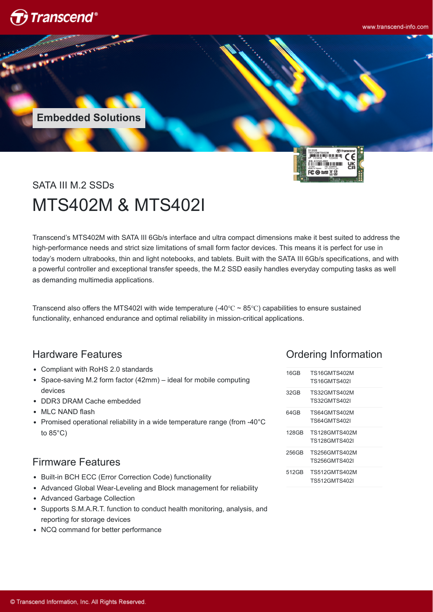

www.transcend-info.com

**Embedded Solutions**



# SATA III M.2 SSDs MTS402M & MTS402I

Transcend's MTS402M with SATA III 6Gb/s interface and ultra compact dimensions make it best suited to address the high-performance needs and strict size limitations of small form factor devices. This means it is perfect for use in today's modern ultrabooks, thin and light notebooks, and tablets. Built with the SATA III 6Gb/s specifications, and with a powerful controller and exceptional transfer speeds, the M.2 SSD easily handles everyday computing tasks as well as demanding multimedia applications.

Transcend also offers the MTS402I with wide temperature (-40 $\degree$ C ~ 85 $\degree$ C) capabilities to ensure sustained functionality, enhanced endurance and optimal reliability in mission-critical applications.

### Hardware Features

- Compliant with RoHS 2.0 standards
- Space-saving M.2 form factor (42mm) ideal for mobile computing devices
- DDR3 DRAM Cache embedded
- MLC NAND flash
- Promised operational reliability in a wide temperature range (from -40°C) to 85°C)

### Firmware Features

- Built-in BCH ECC (Error Correction Code) functionality
- Advanced Global Wear-Leveling and Block management for reliability
- Advanced Garbage Collection
- Supports S.M.A.R.T. function to conduct health monitoring, analysis, and reporting for storage devices
- NCQ command for better performance

# Ordering Information

| 16GB             | TS16GMTS402M         |
|------------------|----------------------|
|                  | TS16GMTS402I         |
| 32 <sub>GB</sub> | TS32GMTS402M         |
|                  | TS32GMTS402I         |
| 64 GB            | TS64GMTS402M         |
|                  | TS64GMTS402I         |
| 128GB            | TS128GMTS402M        |
|                  | TS128GMTS402I        |
| 256GB            | TS256GMTS402M        |
|                  | TS256GMTS402I        |
| 512GB            | TS512GMTS402M        |
|                  | <b>TS512GMTS402I</b> |